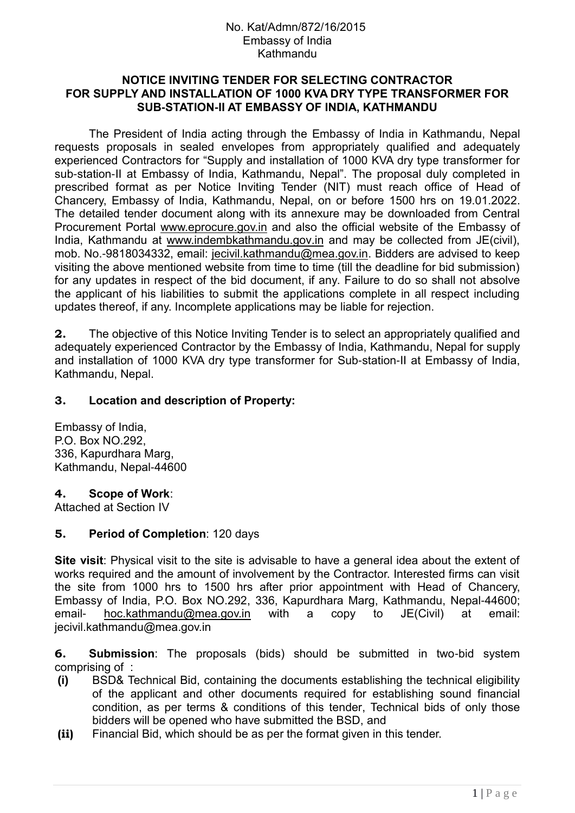### **NOTICE INVITING TENDER FOR SELECTING CONTRACTOR FOR SUPPLY AND INSTALLATION OF 1000 KVA DRY TYPE TRANSFORMER FOR SUB-STATION-II AT EMBASSY OF INDIA, KATHMANDU**

The President of India acting through the Embassy of India in Kathmandu, Nepal requests proposals in sealed envelopes from appropriately qualified and adequately experienced Contractors for "Supply and installation of 1000 KVA dry type transformer for sub-station-II at Embassy of India, Kathmandu, Nepal". The proposal duly completed in prescribed format as per Notice Inviting Tender (NIT) must reach office of Head of Chancery, Embassy of India, Kathmandu, Nepal, on or before 1500 hrs on 19.01.2022. The detailed tender document along with its annexure may be downloaded from Central Procurement Portal www.eprocure.gov.in and also the official website of the Embassy of India, Kathmandu at www.indembkathmandu.gov.in and may be collected from JE(civil), mob. No.-9818034332, email: [jecivil.kathmandu@mea.gov.in.](mailto:jecivil.kathmandu@mea.gov.in) Bidders are advised to keep visiting the above mentioned website from time to time (till the deadline for bid submission) for any updates in respect of the bid document, if any. Failure to do so shall not absolve the applicant of his liabilities to submit the applications complete in all respect including updates thereof, if any. Incomplete applications may be liable for rejection.

**2.** The objective of this Notice Inviting Tender is to select an appropriately qualified and adequately experienced Contractor by the Embassy of India, Kathmandu, Nepal for supply and installation of 1000 KVA dry type transformer for Sub-station-II at Embassy of India, Kathmandu, Nepal.

### **3. Location and description of Property:**

Embassy of India, P.O. Box NO.292, 336, Kapurdhara Marg, Kathmandu, Nepal-44600

### **4. Scope of Work**:

Attached at Section IV

### **5. Period of Completion**: 120 days

**Site visit**: Physical visit to the site is advisable to have a general idea about the extent of works required and the amount of involvement by the Contractor. Interested firms can visit the site from 1000 hrs to 1500 hrs after prior appointment with Head of Chancery, Embassy of India, P.O. Box NO.292, 336, Kapurdhara Marg, Kathmandu, Nepal-44600; email- [hoc.kathmandu@mea.gov.in](mailto:hoc.kathmandu@mea.gov.in) with a copy to JE(Civil) at email: jecivil.kathmandu@mea.gov.in

**6. Submission**: The proposals (bids) should be submitted in two-bid system comprising of :

- **(i)** BSD& Technical Bid, containing the documents establishing the technical eligibility of the applicant and other documents required for establishing sound financial condition, as per terms & conditions of this tender, Technical bids of only those bidders will be opened who have submitted the BSD, and
- **(ii)** Financial Bid, which should be as per the format given in this tender.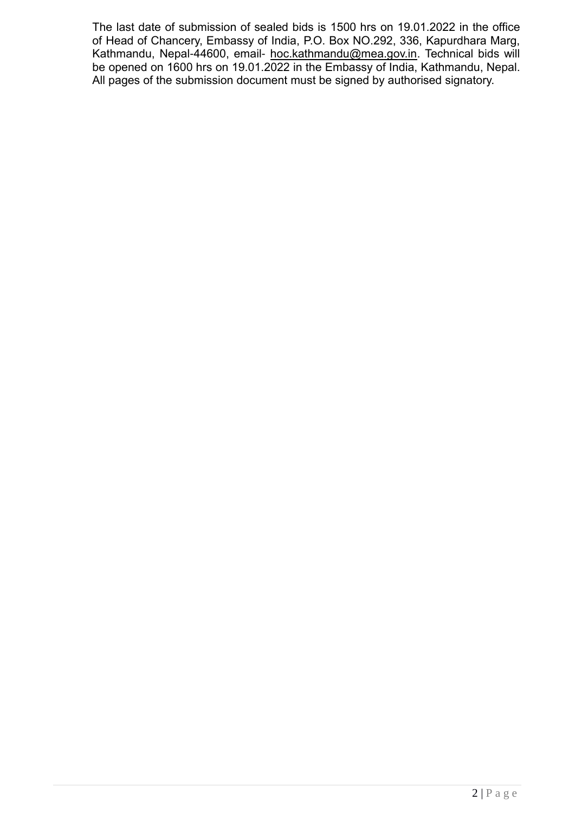The last date of submission of sealed bids is 1500 hrs on 19.01.2022 in the office of Head of Chancery, Embassy of India, P.O. Box NO.292, 336, Kapurdhara Marg, Kathmandu, Nepal-44600, email- [hoc.kathmandu@mea.gov.in.](mailto:hoc.kathmandu@mea.gov.in) Technical bids will be opened on 1600 hrs on 19.01.2022 in the Embassy of India, Kathmandu, Nepal. All pages of the submission document must be signed by authorised signatory.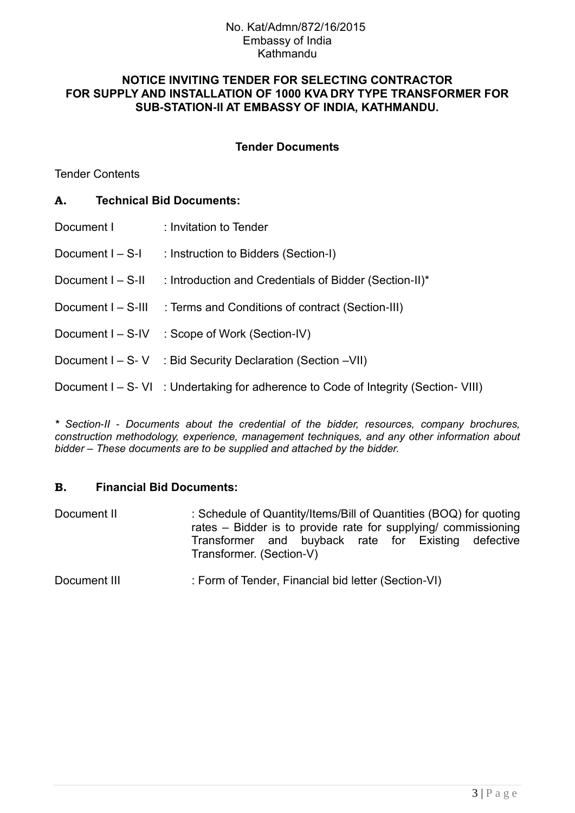### **NOTICE INVITING TENDER FOR SELECTING CONTRACTOR FOR SUPPLY AND INSTALLATION OF 1000 KVA DRY TYPE TRANSFORMER FOR SUB-STATION-II AT EMBASSY OF INDIA, KATHMANDU.**

### **Tender Documents**

Tender Contents

### **A. Technical Bid Documents:**

| Document I         | : Invitation to Tender                                                              |
|--------------------|-------------------------------------------------------------------------------------|
| Document $I - S-I$ | : Instruction to Bidders (Section-I)                                                |
| Document I - S-II  | : Introduction and Credentials of Bidder (Section-II)*                              |
| Document I - S-III | : Terms and Conditions of contract (Section-III)                                    |
| Document I - S-IV  | : Scope of Work (Section-IV)                                                        |
|                    | Document I – S-V : Bid Security Declaration (Section – VII)                         |
|                    | Document I – S- VI : Undertaking for adherence to Code of Integrity (Section- VIII) |
|                    |                                                                                     |

*\* Section-II - Documents about the credential of the bidder, resources, company brochures, construction methodology, experience, management techniques, and any other information about bidder – These documents are to be supplied and attached by the bidder.*

### **B. Financial Bid Documents:**

| Document II | : Schedule of Quantity/Items/Bill of Quantities (BOQ) for quoting<br>rates – Bidder is to provide rate for supplying/ commissioning |  |  |  |  |  |  |
|-------------|-------------------------------------------------------------------------------------------------------------------------------------|--|--|--|--|--|--|
|             | Transformer and buyback rate for Existing defective<br>Transformer. (Section-V)                                                     |  |  |  |  |  |  |

Document III : Form of Tender, Financial bid letter (Section-VI)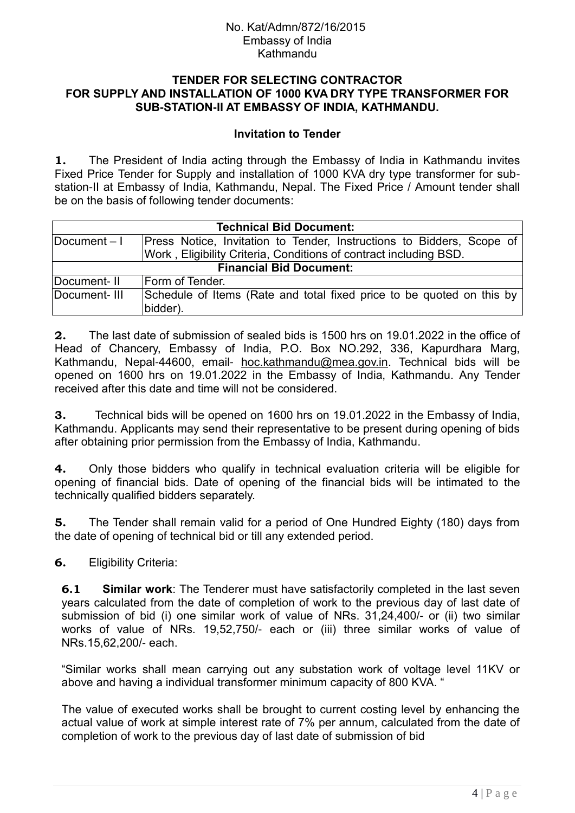### **TENDER FOR SELECTING CONTRACTOR FOR SUPPLY AND INSTALLATION OF 1000 KVA DRY TYPE TRANSFORMER FOR SUB-STATION-II AT EMBASSY OF INDIA, KATHMANDU.**

### **Invitation to Tender**

**1.** The President of India acting through the Embassy of India in Kathmandu invites Fixed Price Tender for Supply and installation of 1000 KVA dry type transformer for substation-II at Embassy of India, Kathmandu, Nepal. The Fixed Price / Amount tender shall be on the basis of following tender documents:

| <b>Technical Bid Document:</b> |                                                                                   |  |  |  |
|--------------------------------|-----------------------------------------------------------------------------------|--|--|--|
| Document-I                     | Press Notice, Invitation to Tender, Instructions to Bidders, Scope of             |  |  |  |
|                                | Work, Eligibility Criteria, Conditions of contract including BSD.                 |  |  |  |
| <b>Financial Bid Document:</b> |                                                                                   |  |  |  |
| Document-II                    | Form of Tender.                                                                   |  |  |  |
| Document-III                   | Schedule of Items (Rate and total fixed price to be quoted on this by<br>bidder). |  |  |  |

**2.** The last date of submission of sealed bids is 1500 hrs on 19.01.2022 in the office of Head of Chancery, Embassy of India, P.O. Box NO.292, 336, Kapurdhara Marg, Kathmandu, Nepal-44600, email- [hoc.kathmandu@mea.gov.in.](mailto:hoc.kathmandu@mea.gov.in) Technical bids will be opened on 1600 hrs on 19.01.2022 in the Embassy of India, Kathmandu. Any Tender received after this date and time will not be considered.

**3.** Technical bids will be opened on 1600 hrs on 19.01.2022 in the Embassy of India, Kathmandu. Applicants may send their representative to be present during opening of bids after obtaining prior permission from the Embassy of India, Kathmandu.

**4.** Only those bidders who qualify in technical evaluation criteria will be eligible for opening of financial bids. Date of opening of the financial bids will be intimated to the technically qualified bidders separately.

**5.** The Tender shall remain valid for a period of One Hundred Eighty (180) days from the date of opening of technical bid or till any extended period.

**6.** Eligibility Criteria:

**6.1 Similar work**: The Tenderer must have satisfactorily completed in the last seven years calculated from the date of completion of work to the previous day of last date of submission of bid (i) one similar work of value of NRs. 31,24,400/- or (ii) two similar works of value of NRs. 19,52,750/- each or (iii) three similar works of value of NRs.15,62,200/- each.

"Similar works shall mean carrying out any substation work of voltage level 11KV or above and having a individual transformer minimum capacity of 800 KVA. "

The value of executed works shall be brought to current costing level by enhancing the actual value of work at simple interest rate of 7% per annum, calculated from the date of completion of work to the previous day of last date of submission of bid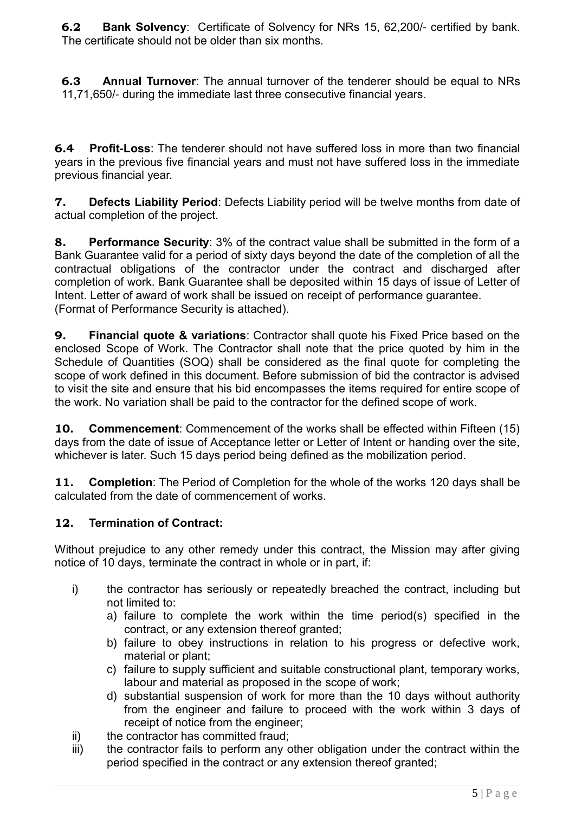**6.2 Bank Solvency**: Certificate of Solvency for NRs 15, 62,200/- certified by bank. The certificate should not be older than six months.

**6.3 Annual Turnover**: The annual turnover of the tenderer should be equal to NRs 11,71,650/- during the immediate last three consecutive financial years.

**6.4 Profit-Loss**: The tenderer should not have suffered loss in more than two financial years in the previous five financial years and must not have suffered loss in the immediate previous financial year.

**7. Defects Liability Period**: Defects Liability period will be twelve months from date of actual completion of the project.

**8. Performance Security**: 3% of the contract value shall be submitted in the form of a Bank Guarantee valid for a period of sixty days beyond the date of the completion of all the contractual obligations of the contractor under the contract and discharged after completion of work. Bank Guarantee shall be deposited within 15 days of issue of Letter of Intent. Letter of award of work shall be issued on receipt of performance guarantee. (Format of Performance Security is attached).

**9. Financial quote & variations**: Contractor shall quote his Fixed Price based on the enclosed Scope of Work. The Contractor shall note that the price quoted by him in the Schedule of Quantities (SOQ) shall be considered as the final quote for completing the scope of work defined in this document. Before submission of bid the contractor is advised to visit the site and ensure that his bid encompasses the items required for entire scope of the work. No variation shall be paid to the contractor for the defined scope of work.

**10. Commencement**: Commencement of the works shall be effected within Fifteen (15) days from the date of issue of Acceptance letter or Letter of Intent or handing over the site, whichever is later. Such 15 days period being defined as the mobilization period.

**11. Completion**: The Period of Completion for the whole of the works 120 days shall be calculated from the date of commencement of works.

# **12. Termination of Contract:**

Without prejudice to any other remedy under this contract, the Mission may after giving notice of 10 days, terminate the contract in whole or in part, if:

- i) the contractor has seriously or repeatedly breached the contract, including but not limited to:
	- a) failure to complete the work within the time period(s) specified in the contract, or any extension thereof granted;
	- b) failure to obey instructions in relation to his progress or defective work, material or plant;
	- c) failure to supply sufficient and suitable constructional plant, temporary works, labour and material as proposed in the scope of work;
	- d) substantial suspension of work for more than the 10 days without authority from the engineer and failure to proceed with the work within 3 days of receipt of notice from the engineer;
- ii) the contractor has committed fraud;
- iii) the contractor fails to perform any other obligation under the contract within the period specified in the contract or any extension thereof granted;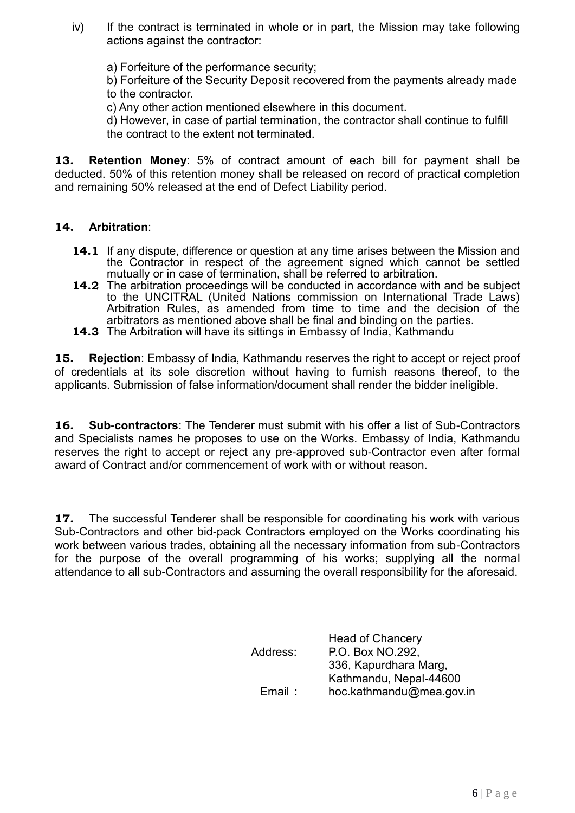- iv) If the contract is terminated in whole or in part, the Mission may take following actions against the contractor:
	- a) Forfeiture of the performance security;

b) Forfeiture of the Security Deposit recovered from the payments already made to the contractor.

c) Any other action mentioned elsewhere in this document.

d) However, in case of partial termination, the contractor shall continue to fulfill the contract to the extent not terminated.

**13. Retention Money**: 5% of contract amount of each bill for payment shall be deducted. 50% of this retention money shall be released on record of practical completion and remaining 50% released at the end of Defect Liability period.

### **14. Arbitration**:

- **14.1** If any dispute, difference or question at any time arises between the Mission and the Contractor in respect of the agreement signed which cannot be settled mutually or in case of termination, shall be referred to arbitration.
- **14.2** The arbitration proceedings will be conducted in accordance with and be subject to the UNCITRAL (United Nations commission on International Trade Laws) Arbitration Rules, as amended from time to time and the decision of the arbitrators as mentioned above shall be final and binding on the parties.
- **14.3** The Arbitration will have its sittings in Embassy of India, Kathmandu

**15. Rejection**: Embassy of India, Kathmandu reserves the right to accept or reject proof of credentials at its sole discretion without having to furnish reasons thereof, to the applicants. Submission of false information/document shall render the bidder ineligible.

**16. Sub-contractors**: The Tenderer must submit with his offer a list of Sub-Contractors and Specialists names he proposes to use on the Works. Embassy of India, Kathmandu reserves the right to accept or reject any pre-approved sub-Contractor even after formal award of Contract and/or commencement of work with or without reason.

**17.** The successful Tenderer shall be responsible for coordinating his work with various Sub-Contractors and other bid-pack Contractors employed on the Works coordinating his work between various trades, obtaining all the necessary information from sub-Contractors for the purpose of the overall programming of his works; supplying all the normal attendance to all sub-Contractors and assuming the overall responsibility for the aforesaid.

| Address: | <b>Head of Chancery</b><br>P.O. Box NO.292.     |
|----------|-------------------------------------------------|
|          | 336, Kapurdhara Marg,<br>Kathmandu, Nepal-44600 |
| Email :  | hoc.kathmandu@mea.gov.in                        |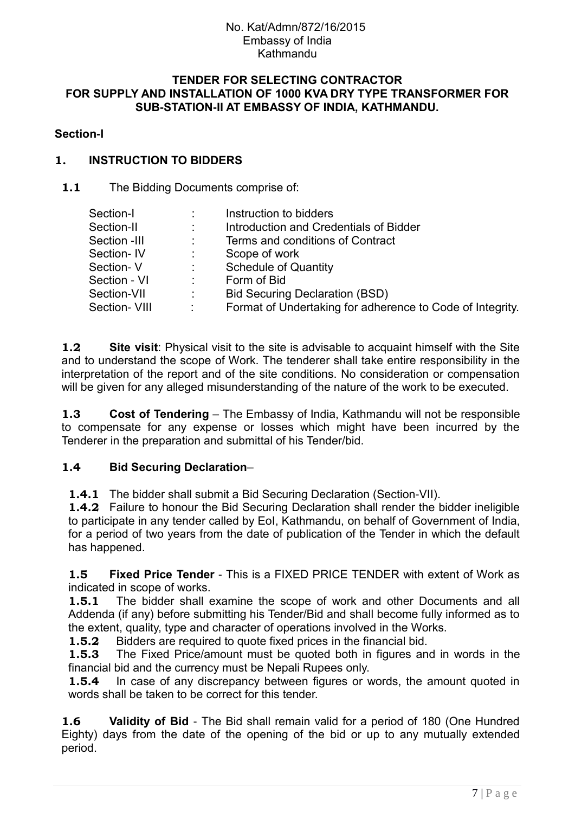#### **TENDER FOR SELECTING CONTRACTOR FOR SUPPLY AND INSTALLATION OF 1000 KVA DRY TYPE TRANSFORMER FOR SUB-STATION-II AT EMBASSY OF INDIA, KATHMANDU.**

### **Section-I**

## **1. INSTRUCTION TO BIDDERS**

### **1.1** The Bidding Documents comprise of:

| Section-I            |                              | Instruction to bidders                                    |
|----------------------|------------------------------|-----------------------------------------------------------|
| Section-II           | $\mathcal{L}^{\mathcal{L}}$  | Introduction and Credentials of Bidder                    |
| Section -III         |                              | Terms and conditions of Contract                          |
| Section-IV           |                              | Scope of work                                             |
| Section-V            | $\mathcal{L}_{\rm{max}}$     | <b>Schedule of Quantity</b>                               |
| Section - VI         | t.                           | Form of Bid                                               |
| Section-VII          | $\mathcal{L}_{\mathrm{max}}$ | <b>Bid Securing Declaration (BSD)</b>                     |
| <b>Section- VIII</b> |                              | Format of Undertaking for adherence to Code of Integrity. |

**1.2 Site visit**: Physical visit to the site is advisable to acquaint himself with the Site and to understand the scope of Work. The tenderer shall take entire responsibility in the interpretation of the report and of the site conditions. No consideration or compensation will be given for any alleged misunderstanding of the nature of the work to be executed.

**1.3 Cost of Tendering** – The Embassy of India, Kathmandu will not be responsible to compensate for any expense or losses which might have been incurred by the Tenderer in the preparation and submittal of his Tender/bid.

## **1.4 Bid Securing Declaration**–

**1.4.1** The bidder shall submit a Bid Securing Declaration (Section-VII).

**1.4.2** Failure to honour the Bid Securing Declaration shall render the bidder ineligible to participate in any tender called by EoI, Kathmandu, on behalf of Government of India, for a period of two years from the date of publication of the Tender in which the default has happened.

**1.5 Fixed Price Tender** - This is a FIXED PRICE TENDER with extent of Work as indicated in scope of works.

**1.5.1** The bidder shall examine the scope of work and other Documents and all Addenda (if any) before submitting his Tender/Bid and shall become fully informed as to the extent, quality, type and character of operations involved in the Works.

**1.5.2** Bidders are required to quote fixed prices in the financial bid.

**1.5.3** The Fixed Price/amount must be quoted both in figures and in words in the financial bid and the currency must be Nepali Rupees only.

**1.5.4** In case of any discrepancy between figures or words, the amount quoted in words shall be taken to be correct for this tender.

**1.6 Validity of Bid** - The Bid shall remain valid for a period of 180 (One Hundred Eighty) days from the date of the opening of the bid or up to any mutually extended period.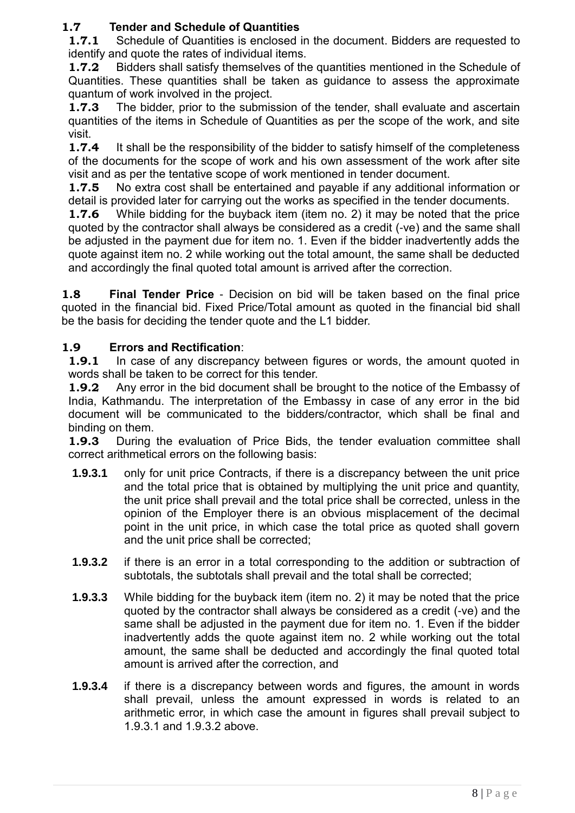# **1.7 Tender and Schedule of Quantities**

**1.7.1** Schedule of Quantities is enclosed in the document. Bidders are requested to identify and quote the rates of individual items.

**1.7.2** Bidders shall satisfy themselves of the quantities mentioned in the Schedule of Quantities. These quantities shall be taken as guidance to assess the approximate quantum of work involved in the project.

**1.7.3** The bidder, prior to the submission of the tender, shall evaluate and ascertain quantities of the items in Schedule of Quantities as per the scope of the work, and site visit.

**1.7.4** It shall be the responsibility of the bidder to satisfy himself of the completeness of the documents for the scope of work and his own assessment of the work after site visit and as per the tentative scope of work mentioned in tender document.

**1.7.5** No extra cost shall be entertained and payable if any additional information or detail is provided later for carrying out the works as specified in the tender documents.

**1.7.6** While bidding for the buyback item (item no. 2) it may be noted that the price quoted by the contractor shall always be considered as a credit (-ve) and the same shall be adjusted in the payment due for item no. 1. Even if the bidder inadvertently adds the quote against item no. 2 while working out the total amount, the same shall be deducted and accordingly the final quoted total amount is arrived after the correction.

**1.8 Final Tender Price** - Decision on bid will be taken based on the final price quoted in the financial bid. Fixed Price/Total amount as quoted in the financial bid shall be the basis for deciding the tender quote and the L1 bidder.

# **1.9 Errors and Rectification**:

**1.9.1** In case of any discrepancy between figures or words, the amount quoted in words shall be taken to be correct for this tender.

**1.9.2** Any error in the bid document shall be brought to the notice of the Embassy of India, Kathmandu. The interpretation of the Embassy in case of any error in the bid document will be communicated to the bidders/contractor, which shall be final and binding on them.

**1.9.3** During the evaluation of Price Bids, the tender evaluation committee shall correct arithmetical errors on the following basis:

- **1.9.3.1** only for unit price Contracts, if there is a discrepancy between the unit price and the total price that is obtained by multiplying the unit price and quantity, the unit price shall prevail and the total price shall be corrected, unless in the opinion of the Employer there is an obvious misplacement of the decimal point in the unit price, in which case the total price as quoted shall govern and the unit price shall be corrected;
- **1.9.3.2** if there is an error in a total corresponding to the addition or subtraction of subtotals, the subtotals shall prevail and the total shall be corrected;
- **1.9.3.3** While bidding for the buyback item (item no. 2) it may be noted that the price quoted by the contractor shall always be considered as a credit (-ve) and the same shall be adjusted in the payment due for item no. 1. Even if the bidder inadvertently adds the quote against item no. 2 while working out the total amount, the same shall be deducted and accordingly the final quoted total amount is arrived after the correction, and
- **1.9.3.4** if there is a discrepancy between words and figures, the amount in words shall prevail, unless the amount expressed in words is related to an arithmetic error, in which case the amount in figures shall prevail subject to 1.9.3.1 and 1.9.3.2 above.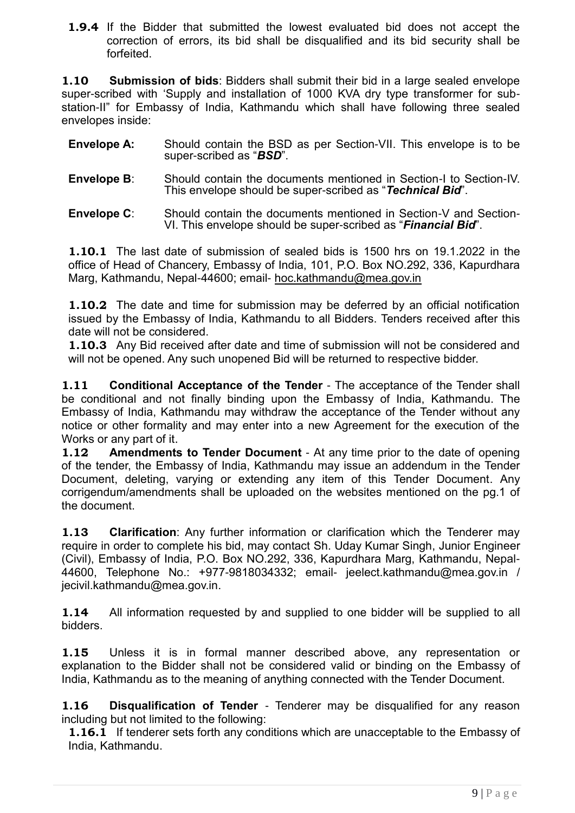**1.9.4** If the Bidder that submitted the lowest evaluated bid does not accept the correction of errors, its bid shall be disqualified and its bid security shall be forfeited.

**1.10 Submission of bids**: Bidders shall submit their bid in a large sealed envelope super-scribed with "Supply and installation of 1000 KVA dry type transformer for substation-II" for Embassy of India, Kathmandu which shall have following three sealed envelopes inside:

- **Envelope A:** Should contain the BSD as per Section-VII. This envelope is to be super-scribed as "*BSD*".
- **Envelope B**: Should contain the documents mentioned in Section-I to Section-IV. This envelope should be super-scribed as "*Technical Bid*".
- **Envelope C**: Should contain the documents mentioned in Section-V and Section-VI. This envelope should be super-scribed as "*Financial Bid*".

**1.10.1** The last date of submission of sealed bids is 1500 hrs on 19.1.2022 in the office of Head of Chancery, Embassy of India, 101, P.O. Box NO.292, 336, Kapurdhara Marg, Kathmandu, Nepal-44600; email- [hoc.kathmandu@mea.gov.in](mailto:hoc.kathmandu@mea.gov.in)

**1.10.2** The date and time for submission may be deferred by an official notification issued by the Embassy of India, Kathmandu to all Bidders. Tenders received after this date will not be considered.

**1.10.3** Any Bid received after date and time of submission will not be considered and will not be opened. Any such unopened Bid will be returned to respective bidder.

**1.11 Conditional Acceptance of the Tender** - The acceptance of the Tender shall be conditional and not finally binding upon the Embassy of India, Kathmandu. The Embassy of India, Kathmandu may withdraw the acceptance of the Tender without any notice or other formality and may enter into a new Agreement for the execution of the Works or any part of it.

**1.12 Amendments to Tender Document** - At any time prior to the date of opening of the tender, the Embassy of India, Kathmandu may issue an addendum in the Tender Document, deleting, varying or extending any item of this Tender Document. Any corrigendum/amendments shall be uploaded on the websites mentioned on the pg.1 of the document.

**1.13 Clarification**: Any further information or clarification which the Tenderer may require in order to complete his bid, may contact Sh. Uday Kumar Singh, Junior Engineer (Civil), Embassy of India, P.O. Box NO.292, 336, Kapurdhara Marg, Kathmandu, Nepal-44600, Telephone No.: +977-9818034332; email- jeelect.kathmandu@mea.gov.in / jecivil.kathmandu@mea.gov.in.

**1.14** All information requested by and supplied to one bidder will be supplied to all bidders.

**1.15** Unless it is in formal manner described above, any representation or explanation to the Bidder shall not be considered valid or binding on the Embassy of India, Kathmandu as to the meaning of anything connected with the Tender Document.

**1.16 Disqualification of Tender** - Tenderer may be disqualified for any reason including but not limited to the following:

**1.16.1** If tenderer sets forth any conditions which are unacceptable to the Embassy of India, Kathmandu.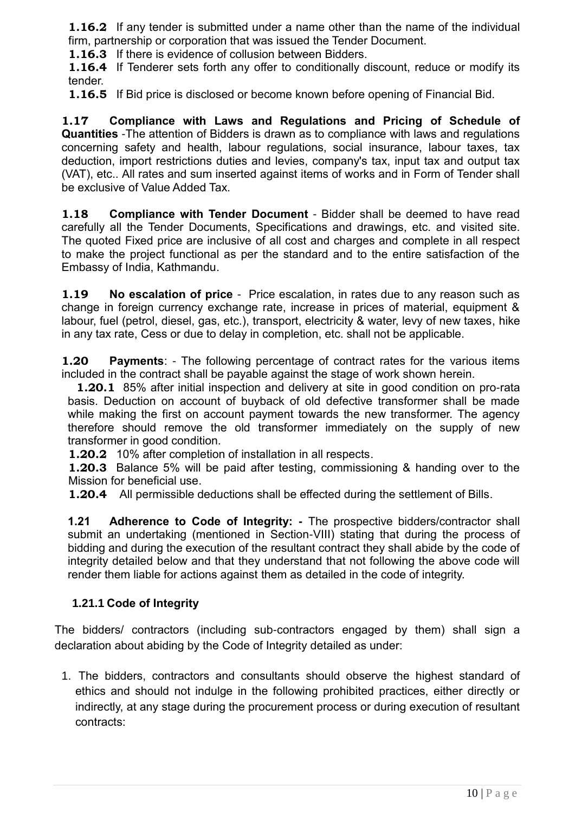**1.16.2** If any tender is submitted under a name other than the name of the individual firm, partnership or corporation that was issued the Tender Document.

**1.16.3** If there is evidence of collusion between Bidders.

**1.16.4** If Tenderer sets forth any offer to conditionally discount, reduce or modify its tender.

**1.16.5** If Bid price is disclosed or become known before opening of Financial Bid.

**1.17 Compliance with Laws and Regulations and Pricing of Schedule of Quantities** -The attention of Bidders is drawn as to compliance with laws and regulations concerning safety and health, labour regulations, social insurance, labour taxes, tax deduction, import restrictions duties and levies, company's tax, input tax and output tax (VAT), etc.. All rates and sum inserted against items of works and in Form of Tender shall be exclusive of Value Added Tax.

**1.18 Compliance with Tender Document** - Bidder shall be deemed to have read carefully all the Tender Documents, Specifications and drawings, etc. and visited site. The quoted Fixed price are inclusive of all cost and charges and complete in all respect to make the project functional as per the standard and to the entire satisfaction of the Embassy of India, Kathmandu.

**1.19 No escalation of price** - Price escalation, in rates due to any reason such as change in foreign currency exchange rate, increase in prices of material, equipment & labour, fuel (petrol, diesel, gas, etc.), transport, electricity & water, levy of new taxes, hike in any tax rate, Cess or due to delay in completion, etc. shall not be applicable.

**1.20 Payments**: - The following percentage of contract rates for the various items included in the contract shall be payable against the stage of work shown herein.

**1.20.1** 85% after initial inspection and delivery at site in good condition on pro-rata basis. Deduction on account of buyback of old defective transformer shall be made while making the first on account payment towards the new transformer. The agency therefore should remove the old transformer immediately on the supply of new transformer in good condition.

**1.20.2** 10% after completion of installation in all respects.

**1.20.3** Balance 5% will be paid after testing, commissioning & handing over to the Mission for beneficial use.

**1.20.4** All permissible deductions shall be effected during the settlement of Bills.

**1.21 Adherence to Code of Integrity: -** The prospective bidders/contractor shall submit an undertaking (mentioned in Section-VIII) stating that during the process of bidding and during the execution of the resultant contract they shall abide by the code of integrity detailed below and that they understand that not following the above code will render them liable for actions against them as detailed in the code of integrity.

## **1.21.1 Code of Integrity**

The bidders/ contractors (including sub-contractors engaged by them) shall sign a declaration about abiding by the Code of Integrity detailed as under:

1. The bidders, contractors and consultants should observe the highest standard of ethics and should not indulge in the following prohibited practices, either directly or indirectly, at any stage during the procurement process or during execution of resultant contracts: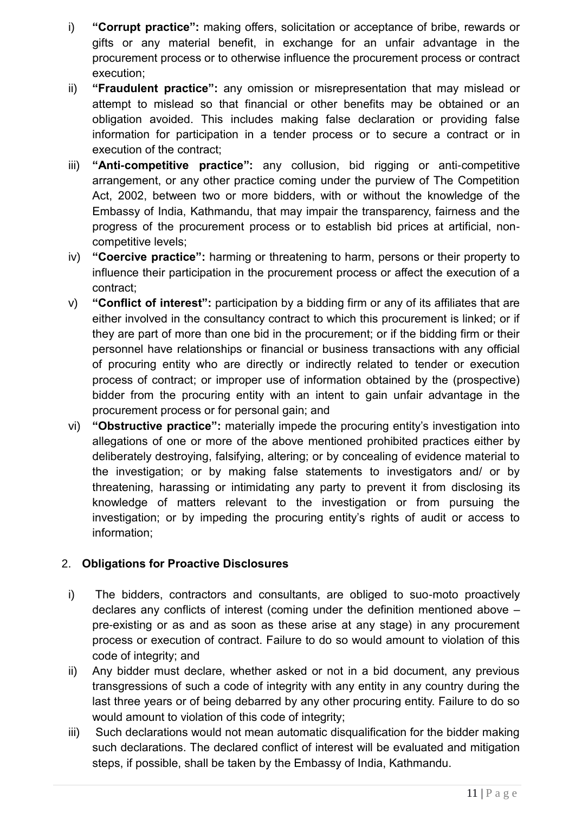- i) **"Corrupt practice":** making offers, solicitation or acceptance of bribe, rewards or gifts or any material benefit, in exchange for an unfair advantage in the procurement process or to otherwise influence the procurement process or contract execution;
- ii) **"Fraudulent practice":** any omission or misrepresentation that may mislead or attempt to mislead so that financial or other benefits may be obtained or an obligation avoided. This includes making false declaration or providing false information for participation in a tender process or to secure a contract or in execution of the contract;
- iii) **"Anti-competitive practice":** any collusion, bid rigging or anti-competitive arrangement, or any other practice coming under the purview of The Competition Act, 2002, between two or more bidders, with or without the knowledge of the Embassy of India, Kathmandu, that may impair the transparency, fairness and the progress of the procurement process or to establish bid prices at artificial, noncompetitive levels;
- iv) **"Coercive practice":** harming or threatening to harm, persons or their property to influence their participation in the procurement process or affect the execution of a contract;
- v) **"Conflict of interest":** participation by a bidding firm or any of its affiliates that are either involved in the consultancy contract to which this procurement is linked; or if they are part of more than one bid in the procurement; or if the bidding firm or their personnel have relationships or financial or business transactions with any official of procuring entity who are directly or indirectly related to tender or execution process of contract; or improper use of information obtained by the (prospective) bidder from the procuring entity with an intent to gain unfair advantage in the procurement process or for personal gain; and
- vi) **"Obstructive practice":** materially impede the procuring entity"s investigation into allegations of one or more of the above mentioned prohibited practices either by deliberately destroying, falsifying, altering; or by concealing of evidence material to the investigation; or by making false statements to investigators and/ or by threatening, harassing or intimidating any party to prevent it from disclosing its knowledge of matters relevant to the investigation or from pursuing the investigation; or by impeding the procuring entity's rights of audit or access to information;

# 2. **Obligations for Proactive Disclosures**

- i) The bidders, contractors and consultants, are obliged to suo-moto proactively declares any conflicts of interest (coming under the definition mentioned above – pre-existing or as and as soon as these arise at any stage) in any procurement process or execution of contract. Failure to do so would amount to violation of this code of integrity; and
- ii) Any bidder must declare, whether asked or not in a bid document, any previous transgressions of such a code of integrity with any entity in any country during the last three years or of being debarred by any other procuring entity. Failure to do so would amount to violation of this code of integrity;
- iii) Such declarations would not mean automatic disqualification for the bidder making such declarations. The declared conflict of interest will be evaluated and mitigation steps, if possible, shall be taken by the Embassy of India, Kathmandu.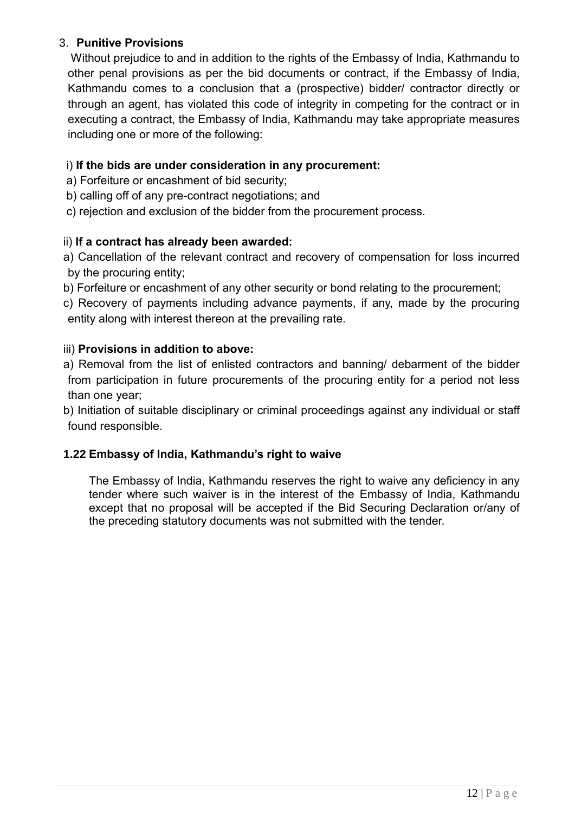## 3. **Punitive Provisions**

Without prejudice to and in addition to the rights of the Embassy of India, Kathmandu to other penal provisions as per the bid documents or contract, if the Embassy of India, Kathmandu comes to a conclusion that a (prospective) bidder/ contractor directly or through an agent, has violated this code of integrity in competing for the contract or in executing a contract, the Embassy of India, Kathmandu may take appropriate measures including one or more of the following:

## i) **If the bids are under consideration in any procurement:**

- a) Forfeiture or encashment of bid security;
- b) calling off of any pre-contract negotiations; and
- c) rejection and exclusion of the bidder from the procurement process.

## ii) **If a contract has already been awarded:**

- a) Cancellation of the relevant contract and recovery of compensation for loss incurred by the procuring entity;
- b) Forfeiture or encashment of any other security or bond relating to the procurement;
- c) Recovery of payments including advance payments, if any, made by the procuring entity along with interest thereon at the prevailing rate.

## iii) **Provisions in addition to above:**

a) Removal from the list of enlisted contractors and banning/ debarment of the bidder from participation in future procurements of the procuring entity for a period not less than one year;

b) Initiation of suitable disciplinary or criminal proceedings against any individual or staff found responsible.

## **1.22 Embassy of India, Kathmandu's right to waive**

The Embassy of India, Kathmandu reserves the right to waive any deficiency in any tender where such waiver is in the interest of the Embassy of India, Kathmandu except that no proposal will be accepted if the Bid Securing Declaration or/any of the preceding statutory documents was not submitted with the tender.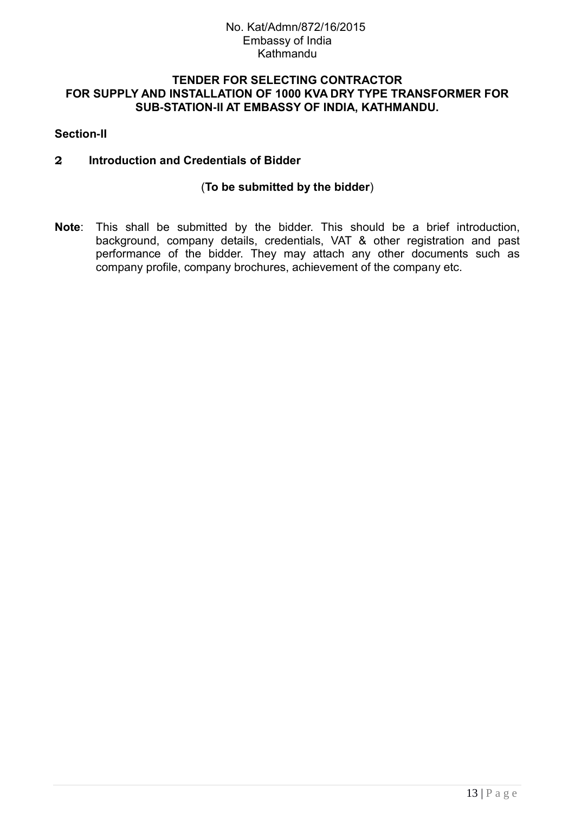### **TENDER FOR SELECTING CONTRACTOR FOR SUPPLY AND INSTALLATION OF 1000 KVA DRY TYPE TRANSFORMER FOR SUB-STATION-II AT EMBASSY OF INDIA, KATHMANDU.**

### **Section-II**

### **2 Introduction and Credentials of Bidder**

### (**To be submitted by the bidder**)

**Note**: This shall be submitted by the bidder. This should be a brief introduction, background, company details, credentials, VAT & other registration and past performance of the bidder. They may attach any other documents such as company profile, company brochures, achievement of the company etc.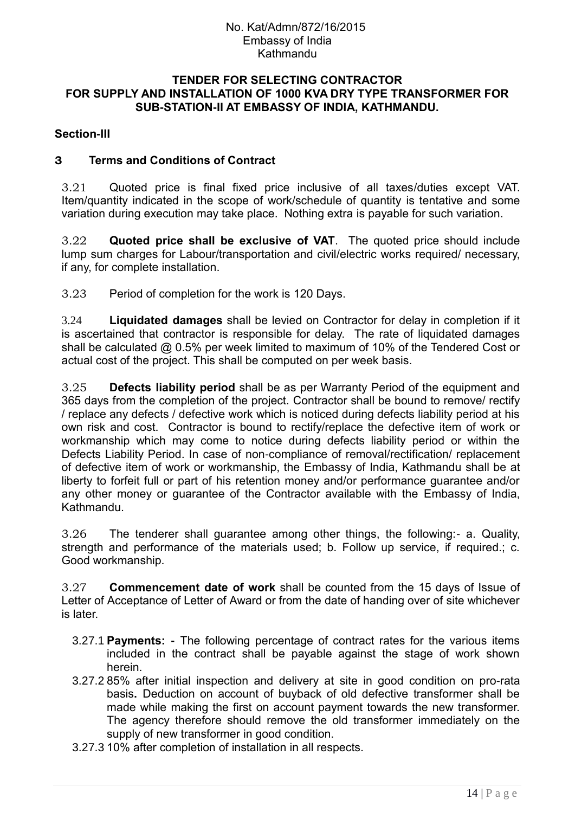#### **TENDER FOR SELECTING CONTRACTOR FOR SUPPLY AND INSTALLATION OF 1000 KVA DRY TYPE TRANSFORMER FOR SUB-STATION-II AT EMBASSY OF INDIA, KATHMANDU.**

### **Section-III**

### **3 Terms and Conditions of Contract**

3.21 Quoted price is final fixed price inclusive of all taxes/duties except VAT. Item/quantity indicated in the scope of work/schedule of quantity is tentative and some variation during execution may take place. Nothing extra is payable for such variation.

3.22 **Quoted price shall be exclusive of VAT**. The quoted price should include lump sum charges for Labour/transportation and civil/electric works required/ necessary, if any, for complete installation.

3.23 Period of completion for the work is 120 Days.

3.24 **Liquidated damages** shall be levied on Contractor for delay in completion if it is ascertained that contractor is responsible for delay. The rate of liquidated damages shall be calculated @ 0.5% per week limited to maximum of 10% of the Tendered Cost or actual cost of the project. This shall be computed on per week basis.

3.25 **Defects liability period** shall be as per Warranty Period of the equipment and 365 days from the completion of the project. Contractor shall be bound to remove/ rectify / replace any defects / defective work which is noticed during defects liability period at his own risk and cost. Contractor is bound to rectify/replace the defective item of work or workmanship which may come to notice during defects liability period or within the Defects Liability Period. In case of non-compliance of removal/rectification/ replacement of defective item of work or workmanship, the Embassy of India, Kathmandu shall be at liberty to forfeit full or part of his retention money and/or performance guarantee and/or any other money or guarantee of the Contractor available with the Embassy of India, Kathmandu.

3.26 The tenderer shall guarantee among other things, the following:- a. Quality, strength and performance of the materials used; b. Follow up service, if required.; c. Good workmanship.

3.27 **Commencement date of work** shall be counted from the 15 days of Issue of Letter of Acceptance of Letter of Award or from the date of handing over of site whichever is later.

- 3.27.1 **Payments: -** The following percentage of contract rates for the various items included in the contract shall be payable against the stage of work shown herein.
- 3.27.2 85% after initial inspection and delivery at site in good condition on pro-rata basis**.** Deduction on account of buyback of old defective transformer shall be made while making the first on account payment towards the new transformer. The agency therefore should remove the old transformer immediately on the supply of new transformer in good condition.
- 3.27.3 10% after completion of installation in all respects.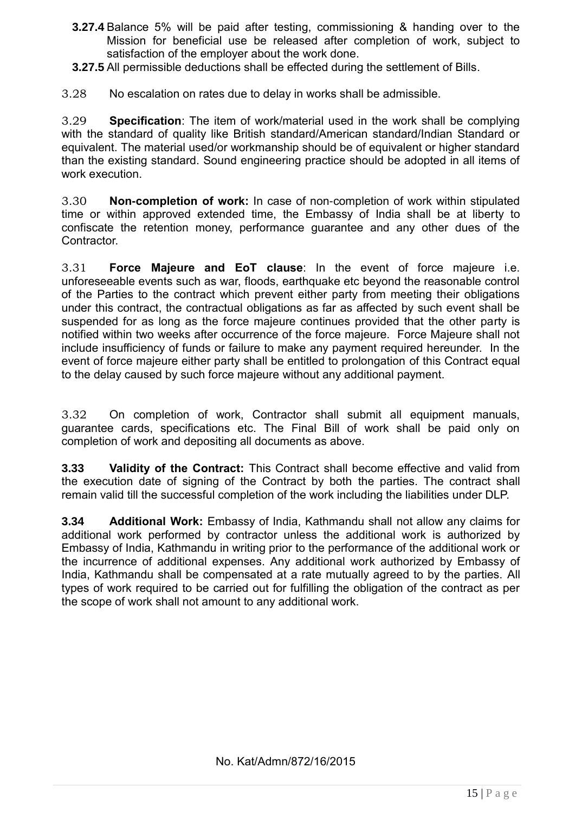- **3.27.4** Balance 5% will be paid after testing, commissioning & handing over to the Mission for beneficial use be released after completion of work, subject to satisfaction of the employer about the work done.
- **3.27.5** All permissible deductions shall be effected during the settlement of Bills.
- 3.28 No escalation on rates due to delay in works shall be admissible.

3.29 **Specification**: The item of work/material used in the work shall be complying with the standard of quality like British standard/American standard/Indian Standard or equivalent. The material used/or workmanship should be of equivalent or higher standard than the existing standard. Sound engineering practice should be adopted in all items of work execution.

3.30 **Non-completion of work:** In case of non-completion of work within stipulated time or within approved extended time, the Embassy of India shall be at liberty to confiscate the retention money, performance guarantee and any other dues of the Contractor.

3.31 **Force Majeure and EoT clause**: In the event of force majeure i.e. unforeseeable events such as war, floods, earthquake etc beyond the reasonable control of the Parties to the contract which prevent either party from meeting their obligations under this contract, the contractual obligations as far as affected by such event shall be suspended for as long as the force majeure continues provided that the other party is notified within two weeks after occurrence of the force majeure. Force Majeure shall not include insufficiency of funds or failure to make any payment required hereunder. In the event of force majeure either party shall be entitled to prolongation of this Contract equal to the delay caused by such force majeure without any additional payment.

3.32 On completion of work, Contractor shall submit all equipment manuals, guarantee cards, specifications etc. The Final Bill of work shall be paid only on completion of work and depositing all documents as above.

**3.33 Validity of the Contract:** This Contract shall become effective and valid from the execution date of signing of the Contract by both the parties. The contract shall remain valid till the successful completion of the work including the liabilities under DLP.

**3.34 Additional Work:** Embassy of India, Kathmandu shall not allow any claims for additional work performed by contractor unless the additional work is authorized by Embassy of India, Kathmandu in writing prior to the performance of the additional work or the incurrence of additional expenses. Any additional work authorized by Embassy of India, Kathmandu shall be compensated at a rate mutually agreed to by the parties. All types of work required to be carried out for fulfilling the obligation of the contract as per the scope of work shall not amount to any additional work.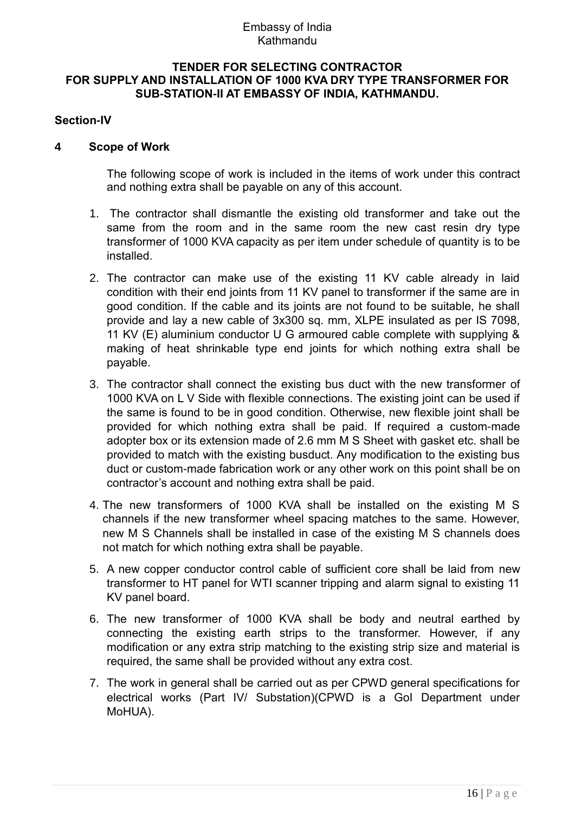### Embassy of India Kathmandu

#### **TENDER FOR SELECTING CONTRACTOR FOR SUPPLY AND INSTALLATION OF 1000 KVA DRY TYPE TRANSFORMER FOR SUB-STATION-II AT EMBASSY OF INDIA, KATHMANDU.**

### **Section-IV**

### **4 Scope of Work**

The following scope of work is included in the items of work under this contract and nothing extra shall be payable on any of this account.

- 1. The contractor shall dismantle the existing old transformer and take out the same from the room and in the same room the new cast resin dry type transformer of 1000 KVA capacity as per item under schedule of quantity is to be installed.
- 2. The contractor can make use of the existing 11 KV cable already in laid condition with their end joints from 11 KV panel to transformer if the same are in good condition. If the cable and its joints are not found to be suitable, he shall provide and lay a new cable of 3x300 sq. mm, XLPE insulated as per IS 7098, 11 KV (E) aluminium conductor U G armoured cable complete with supplying & making of heat shrinkable type end joints for which nothing extra shall be payable.
- 3. The contractor shall connect the existing bus duct with the new transformer of 1000 KVA on L V Side with flexible connections. The existing joint can be used if the same is found to be in good condition. Otherwise, new flexible joint shall be provided for which nothing extra shall be paid. If required a custom-made adopter box or its extension made of 2.6 mm M S Sheet with gasket etc. shall be provided to match with the existing busduct. Any modification to the existing bus duct or custom-made fabrication work or any other work on this point shall be on contractor"s account and nothing extra shall be paid.
- 4. The new transformers of 1000 KVA shall be installed on the existing M S channels if the new transformer wheel spacing matches to the same. However, new M S Channels shall be installed in case of the existing M S channels does not match for which nothing extra shall be payable.
- 5. A new copper conductor control cable of sufficient core shall be laid from new transformer to HT panel for WTI scanner tripping and alarm signal to existing 11 KV panel board.
- 6. The new transformer of 1000 KVA shall be body and neutral earthed by connecting the existing earth strips to the transformer. However, if any modification or any extra strip matching to the existing strip size and material is required, the same shall be provided without any extra cost.
- 7. The work in general shall be carried out as per CPWD general specifications for electrical works (Part IV/ Substation)(CPWD is a GoI Department under MoHUA).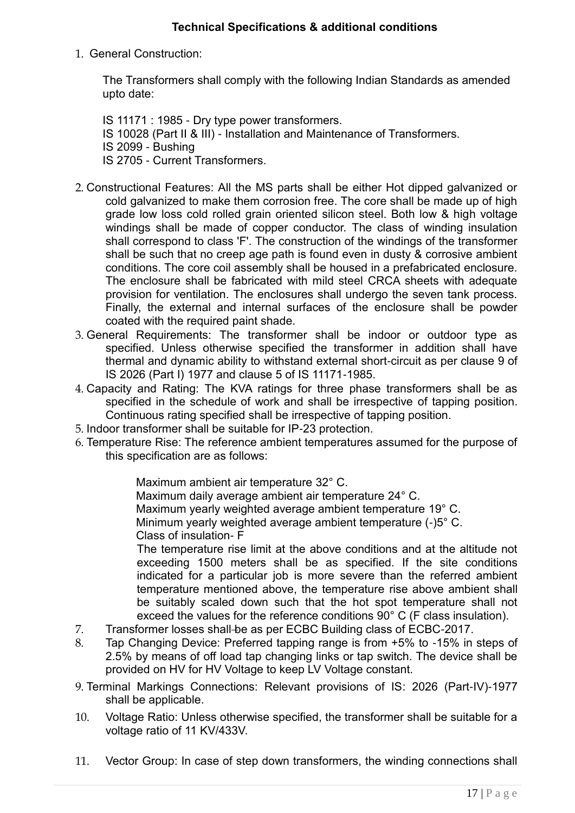### **Technical Specifications & additional conditions**

### 1. General Construction:

The Transformers shall comply with the following Indian Standards as amended upto date:

IS 11171 : 1985 - Dry type power transformers. IS 10028 (Part II & III) - Installation and Maintenance of Transformers. IS 2099 - Bushing IS 2705 - Current Transformers.

- 2. Constructional Features: All the MS parts shall be either Hot dipped galvanized or cold galvanized to make them corrosion free. The core shall be made up of high grade low loss cold rolled grain oriented silicon steel. Both low & high voltage windings shall be made of copper conductor. The class of winding insulation shall correspond to class 'F'. The construction of the windings of the transformer shall be such that no creep age path is found even in dusty & corrosive ambient conditions. The core coil assembly shall be housed in a prefabricated enclosure. The enclosure shall be fabricated with mild steel CRCA sheets with adequate provision for ventilation. The enclosures shall undergo the seven tank process. Finally, the external and internal surfaces of the enclosure shall be powder coated with the required paint shade.
- 3. General Requirements: The transformer shall be indoor or outdoor type as specified. Unless otherwise specified the transformer in addition shall have thermal and dynamic ability to withstand external short-circuit as per clause 9 of IS 2026 (Part I) 1977 and clause 5 of IS 11171-1985.
- 4. Capacity and Rating: The KVA ratings for three phase transformers shall be as specified in the schedule of work and shall be irrespective of tapping position. Continuous rating specified shall be irrespective of tapping position.
- 5. Indoor transformer shall be suitable for IP-23 protection.
- 6. Temperature Rise: The reference ambient temperatures assumed for the purpose of this specification are as follows:

Maximum ambient air temperature 32° C.

Maximum daily average ambient air temperature 24° C. Maximum yearly weighted average ambient temperature 19° C. Minimum yearly weighted average ambient temperature (-)5° C. Class of insulation- F

The temperature rise limit at the above conditions and at the altitude not exceeding 1500 meters shall be as specified. If the site conditions indicated for a particular job is more severe than the referred ambient temperature mentioned above, the temperature rise above ambient shall be suitably scaled down such that the hot spot temperature shall not exceed the values for the reference conditions 90° C (F class insulation).

- 7. Transformer losses shall-be as per ECBC Building class of ECBC-2017.
- 8. Tap Changing Device: Preferred tapping range is from +5% to -15% in steps of 2.5% by means of off load tap changing links or tap switch. The device shall be provided on HV for HV Voltage to keep LV Voltage constant.
- 9. Terminal Markings Connections: Relevant provisions of IS: 2026 (Part-IV)-1977 shall be applicable.
- 10. Voltage Ratio: Unless otherwise specified, the transformer shall be suitable for a voltage ratio of 11 KV/433V.
- 11. Vector Group: In case of step down transformers, the winding connections shall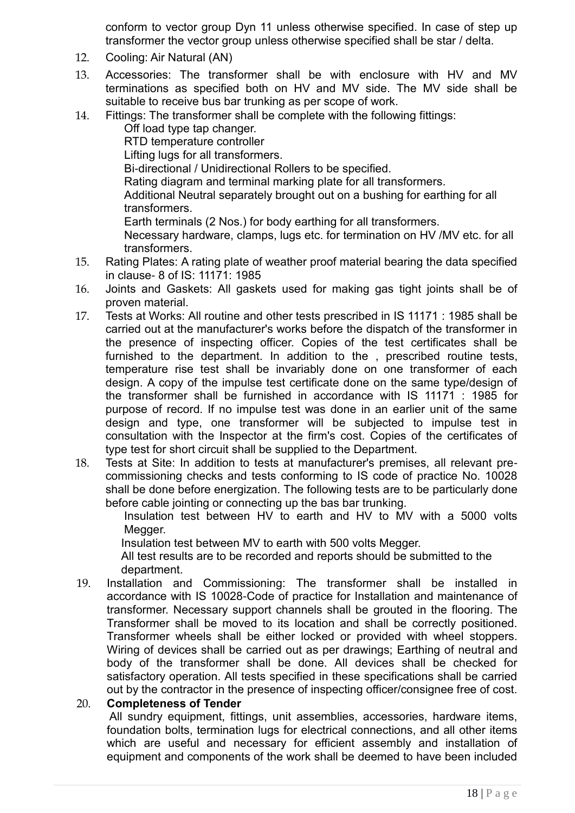conform to vector group Dyn 11 unless otherwise specified. In case of step up transformer the vector group unless otherwise specified shall be star / delta.

- 12. Cooling: Air Natural (AN)
- 13. Accessories: The transformer shall be with enclosure with HV and MV terminations as specified both on HV and MV side. The MV side shall be suitable to receive bus bar trunking as per scope of work.
- 14. Fittings: The transformer shall be complete with the following fittings:

Off load type tap changer. RTD temperature controller Lifting lugs for all transformers. Bi-directional / Unidirectional Rollers to be specified. Rating diagram and terminal marking plate for all transformers. Additional Neutral separately brought out on a bushing for earthing for all transformers. Earth terminals (2 Nos.) for body earthing for all transformers. Necessary hardware, clamps, lugs etc. for termination on HV /MV etc. for all transformers.

- 15. Rating Plates: A rating plate of weather proof material bearing the data specified in clause- 8 of IS: 11171: 1985
- 16. Joints and Gaskets: All gaskets used for making gas tight joints shall be of proven material.
- 17. Tests at Works: All routine and other tests prescribed in IS 11171 : 1985 shall be carried out at the manufacturer's works before the dispatch of the transformer in the presence of inspecting officer. Copies of the test certificates shall be furnished to the department. In addition to the , prescribed routine tests, temperature rise test shall be invariably done on one transformer of each design. A copy of the impulse test certificate done on the same type/design of the transformer shall be furnished in accordance with IS 11171 : 1985 for purpose of record. If no impulse test was done in an earlier unit of the same design and type, one transformer will be subjected to impulse test in consultation with the Inspector at the firm's cost. Copies of the certificates of type test for short circuit shall be supplied to the Department.
- 18. Tests at Site: In addition to tests at manufacturer's premises, all relevant precommissioning checks and tests conforming to IS code of practice No. 10028 shall be done before energization. The following tests are to be particularly done before cable jointing or connecting up the bas bar trunking.

Insulation test between HV to earth and HV to MV with a 5000 volts Megger.

Insulation test between MV to earth with 500 volts Megger.

All test results are to be recorded and reports should be submitted to the department.

19. Installation and Commissioning: The transformer shall be installed in accordance with IS 10028-Code of practice for Installation and maintenance of transformer. Necessary support channels shall be grouted in the flooring. The Transformer shall be moved to its location and shall be correctly positioned. Transformer wheels shall be either locked or provided with wheel stoppers. Wiring of devices shall be carried out as per drawings; Earthing of neutral and body of the transformer shall be done. All devices shall be checked for satisfactory operation. All tests specified in these specifications shall be carried out by the contractor in the presence of inspecting officer/consignee free of cost.

### 20. **Completeness of Tender**

All sundry equipment, fittings, unit assemblies, accessories, hardware items, foundation bolts, termination lugs for electrical connections, and all other items which are useful and necessary for efficient assembly and installation of equipment and components of the work shall be deemed to have been included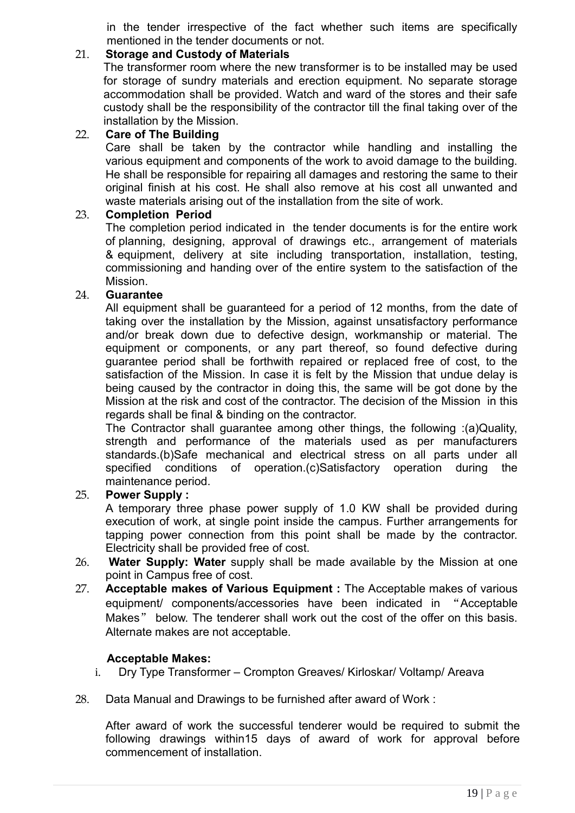in the tender irrespective of the fact whether such items are specifically mentioned in the tender documents or not.

## 21. **Storage and Custody of Materials**

The transformer room where the new transformer is to be installed may be used for storage of sundry materials and erection equipment. No separate storage accommodation shall be provided. Watch and ward of the stores and their safe custody shall be the responsibility of the contractor till the final taking over of the installation by the Mission.

### 22. **Care of The Building**

Care shall be taken by the contractor while handling and installing the various equipment and components of the work to avoid damage to the building. He shall be responsible for repairing all damages and restoring the same to their original finish at his cost. He shall also remove at his cost all unwanted and waste materials arising out of the installation from the site of work.

### 23. **Completion Period**

The completion period indicated in the tender documents is for the entire work of planning, designing, approval of drawings etc., arrangement of materials & equipment, delivery at site including transportation, installation, testing, commissioning and handing over of the entire system to the satisfaction of the Mission.

### 24. **Guarantee**

All equipment shall be guaranteed for a period of 12 months, from the date of taking over the installation by the Mission, against unsatisfactory performance and/or break down due to defective design, workmanship or material. The equipment or components, or any part thereof, so found defective during guarantee period shall be forthwith repaired or replaced free of cost, to the satisfaction of the Mission. In case it is felt by the Mission that undue delay is being caused by the contractor in doing this, the same will be got done by the Mission at the risk and cost of the contractor. The decision of the Mission in this regards shall be final & binding on the contractor.

The Contractor shall guarantee among other things, the following :(a)Quality, strength and performance of the materials used as per manufacturers standards.(b)Safe mechanical and electrical stress on all parts under all specified conditions of operation.(c)Satisfactory operation during the maintenance period.

### 25. **Power Supply :**

A temporary three phase power supply of 1.0 KW shall be provided during execution of work, at single point inside the campus. Further arrangements for tapping power connection from this point shall be made by the contractor. Electricity shall be provided free of cost.

- 26. **Water Supply: Water** supply shall be made available by the Mission at one point in Campus free of cost.
- 27. **Acceptable makes of Various Equipment :** The Acceptable makes of various equipment/ components/accessories have been indicated in "Acceptable Makes" below. The tenderer shall work out the cost of the offer on this basis. Alternate makes are not acceptable.

### **Acceptable Makes:**

- i. Dry Type Transformer Crompton Greaves/ Kirloskar/ Voltamp/ Areava
- 28. Data Manual and Drawings to be furnished after award of Work :

After award of work the successful tenderer would be required to submit the following drawings within15 days of award of work for approval before commencement of installation.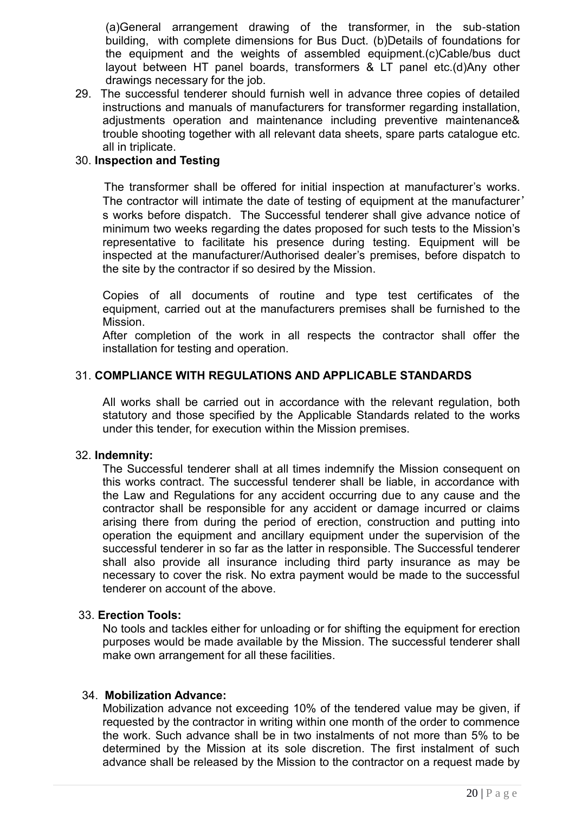(a)General arrangement drawing of the transformer, in the sub-station building, with complete dimensions for Bus Duct. (b)Details of foundations for the equipment and the weights of assembled equipment.(c)Cable/bus duct layout between HT panel boards, transformers & LT panel etc.(d)Any other drawings necessary for the job.

29. The successful tenderer should furnish well in advance three copies of detailed instructions and manuals of manufacturers for transformer regarding installation, adjustments operation and maintenance including preventive maintenance& trouble shooting together with all relevant data sheets, spare parts catalogue etc. all in triplicate.

### 30. **Inspection and Testing**

 The transformer shall be offered for initial inspection at manufacturer"s works. The contractor will intimate the date of testing of equipment at the manufacturer' s works before dispatch. The Successful tenderer shall give advance notice of minimum two weeks regarding the dates proposed for such tests to the Mission"s representative to facilitate his presence during testing. Equipment will be inspected at the manufacturer/Authorised dealer"s premises, before dispatch to the site by the contractor if so desired by the Mission.

Copies of all documents of routine and type test certificates of the equipment, carried out at the manufacturers premises shall be furnished to the Mission.

After completion of the work in all respects the contractor shall offer the installation for testing and operation.

### 31. **COMPLIANCE WITH REGULATIONS AND APPLICABLE STANDARDS**

All works shall be carried out in accordance with the relevant regulation, both statutory and those specified by the Applicable Standards related to the works under this tender, for execution within the Mission premises.

#### 32. **Indemnity:**

The Successful tenderer shall at all times indemnify the Mission consequent on this works contract. The successful tenderer shall be liable, in accordance with the Law and Regulations for any accident occurring due to any cause and the contractor shall be responsible for any accident or damage incurred or claims arising there from during the period of erection, construction and putting into operation the equipment and ancillary equipment under the supervision of the successful tenderer in so far as the latter in responsible. The Successful tenderer shall also provide all insurance including third party insurance as may be necessary to cover the risk. No extra payment would be made to the successful tenderer on account of the above.

#### 33. **Erection Tools:**

No tools and tackles either for unloading or for shifting the equipment for erection purposes would be made available by the Mission. The successful tenderer shall make own arrangement for all these facilities.

#### 34. **Mobilization Advance:**

Mobilization advance not exceeding 10% of the tendered value may be given, if requested by the contractor in writing within one month of the order to commence the work. Such advance shall be in two instalments of not more than 5% to be determined by the Mission at its sole discretion. The first instalment of such advance shall be released by the Mission to the contractor on a request made by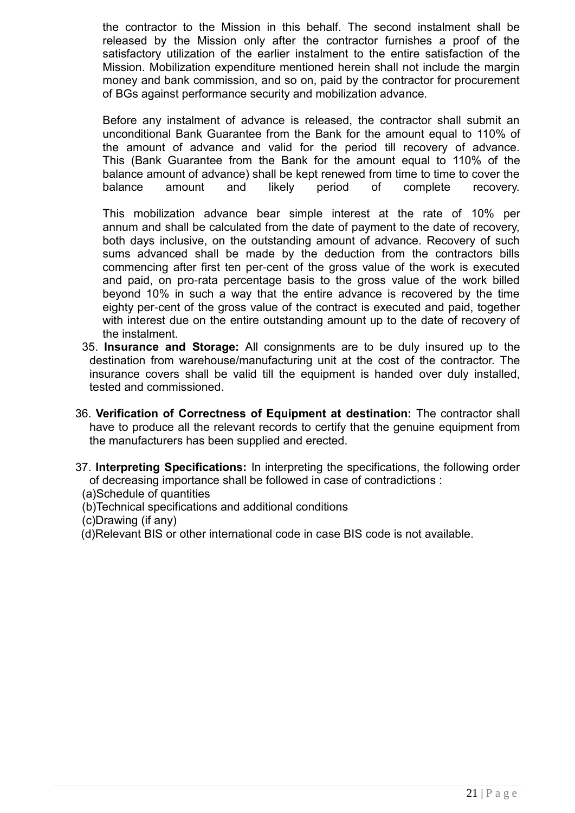the contractor to the Mission in this behalf. The second instalment shall be released by the Mission only after the contractor furnishes a proof of the satisfactory utilization of the earlier instalment to the entire satisfaction of the Mission. Mobilization expenditure mentioned herein shall not include the margin money and bank commission, and so on, paid by the contractor for procurement of BGs against performance security and mobilization advance.

Before any instalment of advance is released, the contractor shall submit an unconditional Bank Guarantee from the Bank for the amount equal to 110% of the amount of advance and valid for the period till recovery of advance. This (Bank Guarantee from the Bank for the amount equal to 110% of the balance amount of advance) shall be kept renewed from time to time to cover the balance amount and likely period of complete recovery.

This mobilization advance bear simple interest at the rate of 10% per annum and shall be calculated from the date of payment to the date of recovery, both days inclusive, on the outstanding amount of advance. Recovery of such sums advanced shall be made by the deduction from the contractors bills commencing after first ten per-cent of the gross value of the work is executed and paid, on pro-rata percentage basis to the gross value of the work billed beyond 10% in such a way that the entire advance is recovered by the time eighty per-cent of the gross value of the contract is executed and paid, together with interest due on the entire outstanding amount up to the date of recovery of the instalment.

- 35. **Insurance and Storage:** All consignments are to be duly insured up to the destination from warehouse/manufacturing unit at the cost of the contractor. The insurance covers shall be valid till the equipment is handed over duly installed, tested and commissioned.
- 36. **Verification of Correctness of Equipment at destination:** The contractor shall have to produce all the relevant records to certify that the genuine equipment from the manufacturers has been supplied and erected.
- 37. **Interpreting Specifications:** In interpreting the specifications, the following order of decreasing importance shall be followed in case of contradictions :
	- (a)Schedule of quantities
	- (b)Technical specifications and additional conditions
	- (c)Drawing (if any)
	- (d)Relevant BIS or other international code in case BIS code is not available.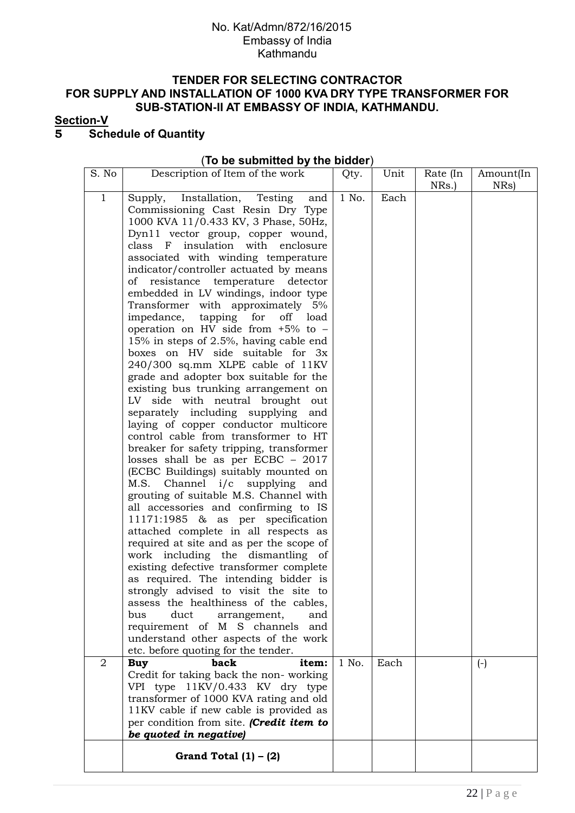#### **TENDER FOR SELECTING CONTRACTOR FOR SUPPLY AND INSTALLATION OF 1000 KVA DRY TYPE TRANSFORMER FOR SUB-STATION-II AT EMBASSY OF INDIA, KATHMANDU.**

### **Section-V**

# **5 Schedule of Quantity**

#### (**To be submitted by the bidder**)

| S. No        | Description of Item of the work                                                  | Qty.  | Unit | Rate (In<br>NRs.) | Amount(In<br>NRs) |
|--------------|----------------------------------------------------------------------------------|-------|------|-------------------|-------------------|
| $\mathbf{1}$ | Supply, Installation, Testing<br>and                                             | 1 No. | Each |                   |                   |
|              | Commissioning Cast Resin Dry Type                                                |       |      |                   |                   |
|              | 1000 KVA 11/0.433 KV, 3 Phase, 50Hz,                                             |       |      |                   |                   |
|              | Dyn11 vector group, copper wound,                                                |       |      |                   |                   |
|              | class<br>insulation with enclosure<br>$\mathbf{F}$                               |       |      |                   |                   |
|              | associated with winding temperature                                              |       |      |                   |                   |
|              | indicator/controller actuated by means                                           |       |      |                   |                   |
|              | resistance<br>temperature<br>of<br>detector                                      |       |      |                   |                   |
|              | embedded in LV windings, indoor type                                             |       |      |                   |                   |
|              | Transformer with approximately 5%<br>tapping<br>impedance,<br>for<br>off<br>load |       |      |                   |                   |
|              | operation on HV side from $+5\%$ to $-$                                          |       |      |                   |                   |
|              | 15% in steps of 2.5%, having cable end                                           |       |      |                   |                   |
|              | boxes on HV side suitable for 3x                                                 |       |      |                   |                   |
|              | 240/300 sq.mm XLPE cable of 11KV                                                 |       |      |                   |                   |
|              | grade and adopter box suitable for the                                           |       |      |                   |                   |
|              | existing bus trunking arrangement on                                             |       |      |                   |                   |
|              | LV side with neutral brought out                                                 |       |      |                   |                   |
|              | separately including supplying<br>and                                            |       |      |                   |                   |
|              | laying of copper conductor multicore                                             |       |      |                   |                   |
|              | control cable from transformer to HT                                             |       |      |                   |                   |
|              | breaker for safety tripping, transformer                                         |       |      |                   |                   |
|              | losses shall be as per ECBC $-2017$                                              |       |      |                   |                   |
|              | (ECBC Buildings) suitably mounted on<br>M.S. Channel i/c supplying<br>and        |       |      |                   |                   |
|              | grouting of suitable M.S. Channel with                                           |       |      |                   |                   |
|              | all accessories and confirming to IS                                             |       |      |                   |                   |
|              | specification<br>11171:1985 & as per                                             |       |      |                   |                   |
|              | attached complete in all respects as                                             |       |      |                   |                   |
|              | required at site and as per the scope of                                         |       |      |                   |                   |
|              | work including the dismantling of                                                |       |      |                   |                   |
|              | existing defective transformer complete                                          |       |      |                   |                   |
|              | as required. The intending bidder is                                             |       |      |                   |                   |
|              | strongly advised to visit the site to                                            |       |      |                   |                   |
|              | assess the healthiness of the cables,                                            |       |      |                   |                   |
|              | duct<br>bus<br>arrangement,<br>and<br>requirement of M S channels<br>and         |       |      |                   |                   |
|              | understand other aspects of the work                                             |       |      |                   |                   |
|              | etc. before quoting for the tender.                                              |       |      |                   |                   |
| 2            | back<br>item:<br><b>Buy</b>                                                      | 1 No. | Each |                   | $(-)$             |
|              | Credit for taking back the non-working                                           |       |      |                   |                   |
|              | VPI type 11KV/0.433 KV dry type                                                  |       |      |                   |                   |
|              | transformer of 1000 KVA rating and old                                           |       |      |                   |                   |
|              | 11KV cable if new cable is provided as                                           |       |      |                   |                   |
|              | per condition from site. (Credit item to                                         |       |      |                   |                   |
|              | be quoted in negative)                                                           |       |      |                   |                   |
|              | Grand Total $(1) - (2)$                                                          |       |      |                   |                   |
|              |                                                                                  |       |      |                   |                   |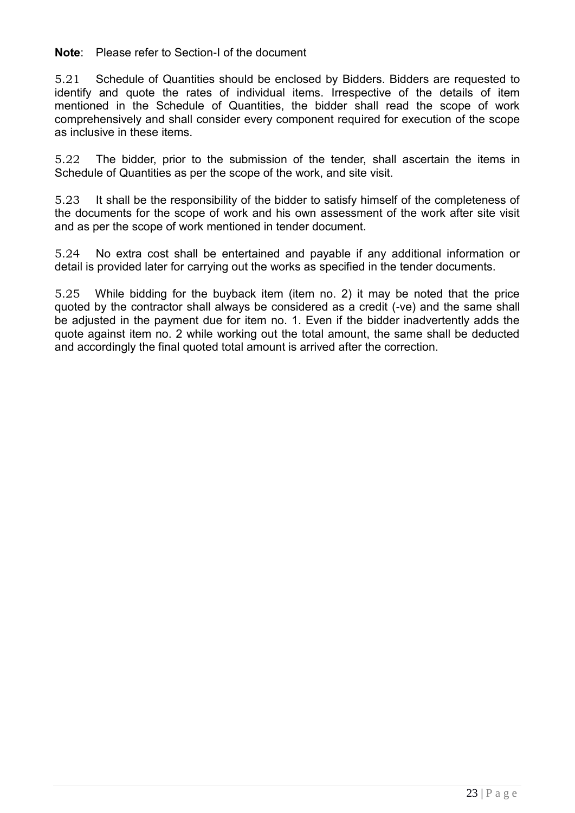**Note**: Please refer to Section-I of the document

5.21 Schedule of Quantities should be enclosed by Bidders. Bidders are requested to identify and quote the rates of individual items. Irrespective of the details of item mentioned in the Schedule of Quantities, the bidder shall read the scope of work comprehensively and shall consider every component required for execution of the scope as inclusive in these items.

5.22 The bidder, prior to the submission of the tender, shall ascertain the items in Schedule of Quantities as per the scope of the work, and site visit.

5.23 It shall be the responsibility of the bidder to satisfy himself of the completeness of the documents for the scope of work and his own assessment of the work after site visit and as per the scope of work mentioned in tender document.

5.24 No extra cost shall be entertained and payable if any additional information or detail is provided later for carrying out the works as specified in the tender documents.

5.25 While bidding for the buyback item (item no. 2) it may be noted that the price quoted by the contractor shall always be considered as a credit (-ve) and the same shall be adjusted in the payment due for item no. 1. Even if the bidder inadvertently adds the quote against item no. 2 while working out the total amount, the same shall be deducted and accordingly the final quoted total amount is arrived after the correction.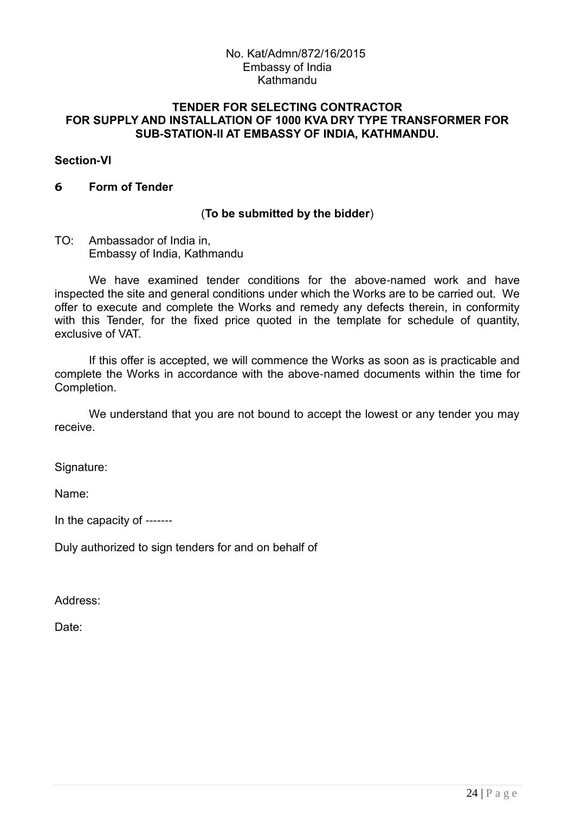#### **TENDER FOR SELECTING CONTRACTOR FOR SUPPLY AND INSTALLATION OF 1000 KVA DRY TYPE TRANSFORMER FOR SUB-STATION-II AT EMBASSY OF INDIA, KATHMANDU.**

### **Section-VI**

### **6 Form of Tender**

## (**To be submitted by the bidder**)

### TO: Ambassador of India in, Embassy of India, Kathmandu

We have examined tender conditions for the above-named work and have inspected the site and general conditions under which the Works are to be carried out. We offer to execute and complete the Works and remedy any defects therein, in conformity with this Tender, for the fixed price quoted in the template for schedule of quantity, exclusive of VAT.

If this offer is accepted, we will commence the Works as soon as is practicable and complete the Works in accordance with the above-named documents within the time for Completion.

We understand that you are not bound to accept the lowest or any tender you may receive.

Signature:

Name:

In the capacity of -------

Duly authorized to sign tenders for and on behalf of

Address:

Date: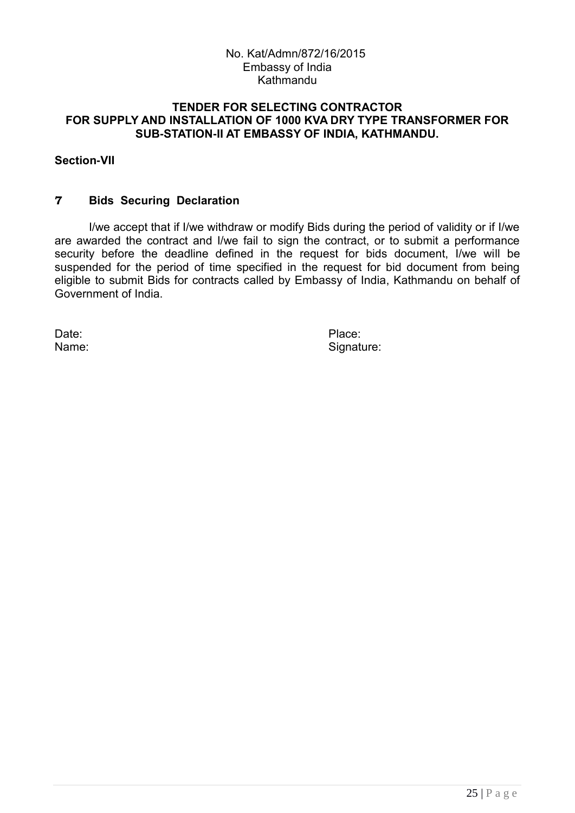#### **TENDER FOR SELECTING CONTRACTOR FOR SUPPLY AND INSTALLATION OF 1000 KVA DRY TYPE TRANSFORMER FOR SUB-STATION-II AT EMBASSY OF INDIA, KATHMANDU.**

### **Section-VII**

### **7 Bids Securing Declaration**

I/we accept that if I/we withdraw or modify Bids during the period of validity or if I/we are awarded the contract and I/we fail to sign the contract, or to submit a performance security before the deadline defined in the request for bids document, I/we will be suspended for the period of time specified in the request for bid document from being eligible to submit Bids for contracts called by Embassy of India, Kathmandu on behalf of Government of India.

Date: **Place:** Place:

Name: Signature: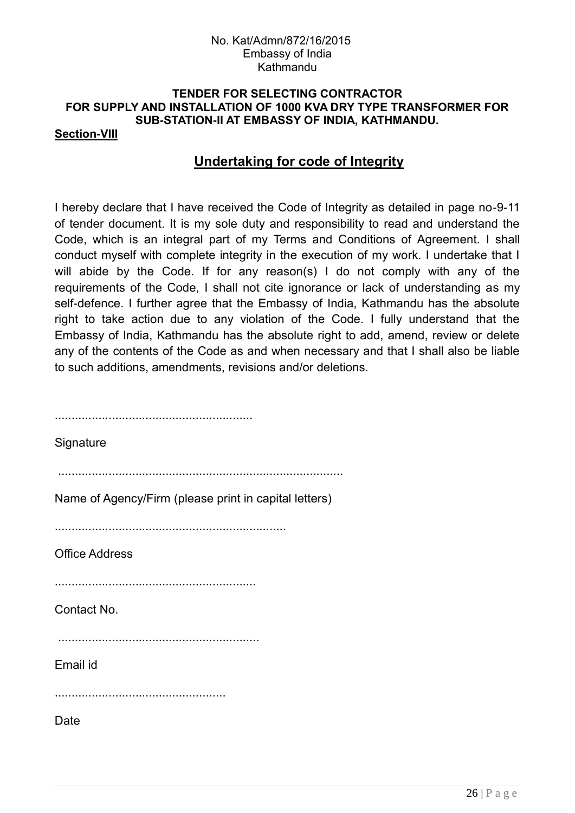# **TENDER FOR SELECTING CONTRACTOR FOR SUPPLY AND INSTALLATION OF 1000 KVA DRY TYPE TRANSFORMER FOR SUB-STATION-II AT EMBASSY OF INDIA, KATHMANDU.**

## **Section-VIII**

# **Undertaking for code of Integrity**

I hereby declare that I have received the Code of Integrity as detailed in page no-9-11 of tender document. It is my sole duty and responsibility to read and understand the Code, which is an integral part of my Terms and Conditions of Agreement. I shall conduct myself with complete integrity in the execution of my work. I undertake that I will abide by the Code. If for any reason(s) I do not comply with any of the requirements of the Code, I shall not cite ignorance or lack of understanding as my self-defence. I further agree that the Embassy of India, Kathmandu has the absolute right to take action due to any violation of the Code. I fully understand that the Embassy of India, Kathmandu has the absolute right to add, amend, review or delete any of the contents of the Code as and when necessary and that I shall also be liable to such additions, amendments, revisions and/or deletions.

| Signature                                             |
|-------------------------------------------------------|
| Name of Agency/Firm (please print in capital letters) |
| <b>Office Address</b>                                 |
| Contact No.                                           |
| Email id                                              |
| Date                                                  |